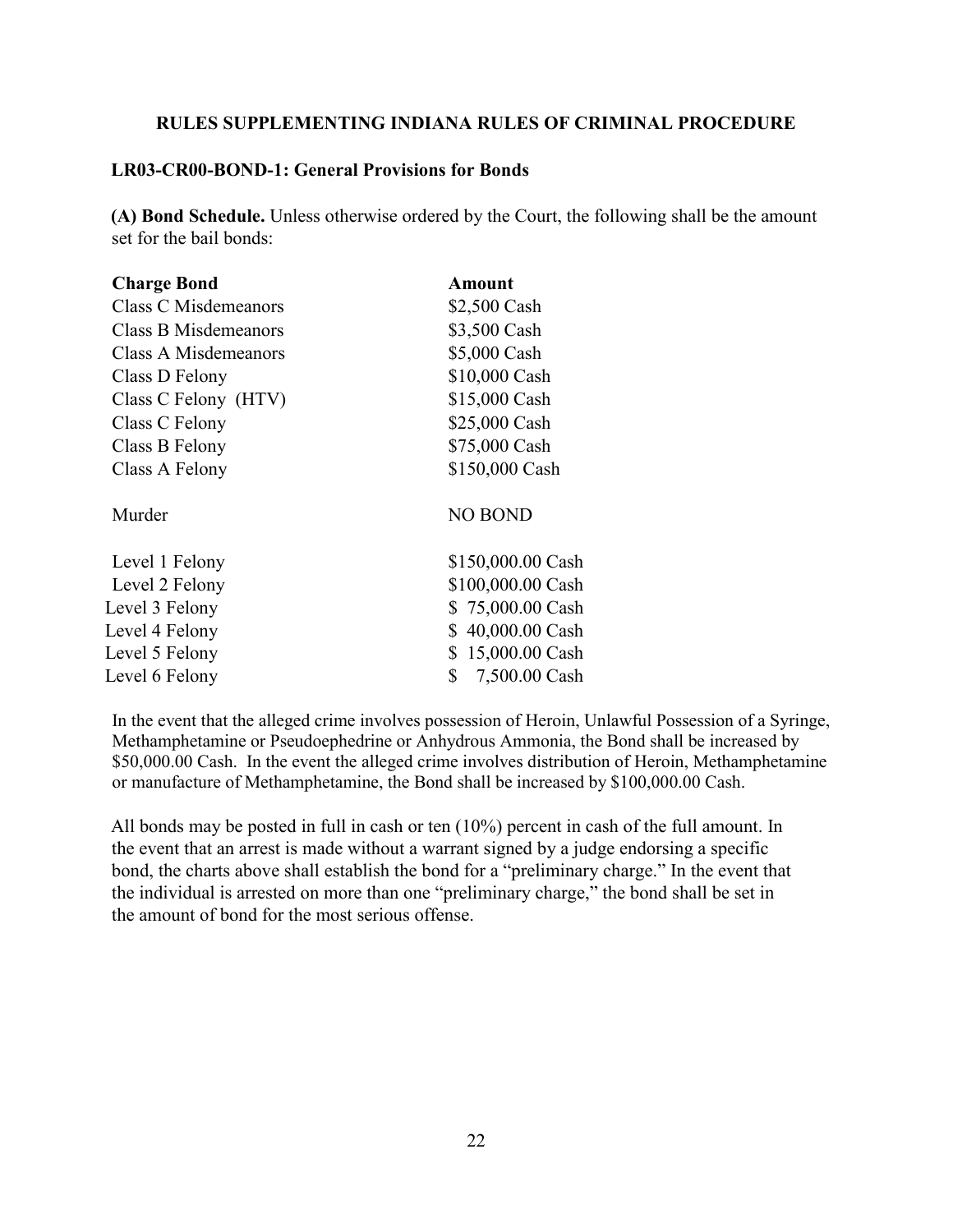## **RULES SUPPLEMENTING INDIANA RULES OF CRIMINAL PROCEDURE**

## **LR03-CR00-BOND-1: General Provisions for Bonds**

**(A) Bond Schedule.** Unless otherwise ordered by the Court, the following shall be the amount set for the bail bonds:

| Amount               |
|----------------------|
| \$2,500 Cash         |
| \$3,500 Cash         |
| \$5,000 Cash         |
| \$10,000 Cash        |
| \$15,000 Cash        |
| \$25,000 Cash        |
| \$75,000 Cash        |
| \$150,000 Cash       |
| <b>NO BOND</b>       |
| \$150,000.00 Cash    |
| \$100,000.00 Cash    |
| \$75,000.00 Cash     |
| 40,000.00 Cash<br>\$ |
| 15,000.00 Cash<br>\$ |
| \$<br>7,500.00 Cash  |
|                      |

In the event that the alleged crime involves possession of Heroin, Unlawful Possession of a Syringe, Methamphetamine or Pseudoephedrine or Anhydrous Ammonia, the Bond shall be increased by \$50,000.00 Cash. In the event the alleged crime involves distribution of Heroin, Methamphetamine or manufacture of Methamphetamine, the Bond shall be increased by \$100,000.00 Cash.

All bonds may be posted in full in cash or ten (10%) percent in cash of the full amount. In the event that an arrest is made without a warrant signed by a judge endorsing a specific bond, the charts above shall establish the bond for a "preliminary charge." In the event that the individual is arrested on more than one "preliminary charge," the bond shall be set in the amount of bond for the most serious offense.